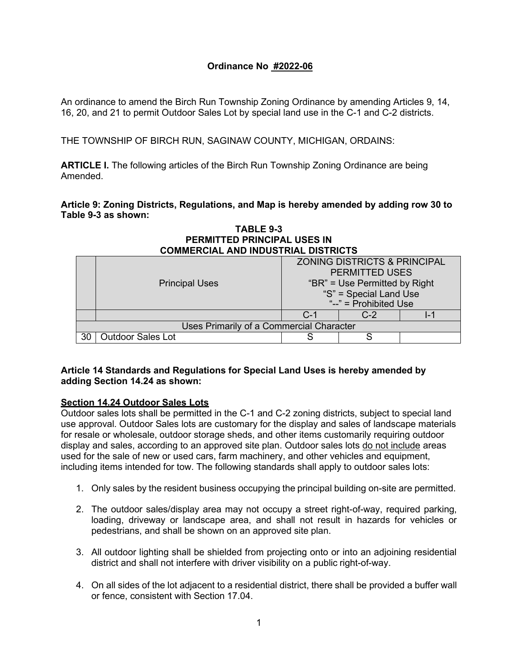# **Ordinance No #2022-06**

An ordinance to amend the Birch Run Township Zoning Ordinance by amending Articles 9, 14, 16, 20, and 21 to permit Outdoor Sales Lot by special land use in the C-1 and C-2 districts.

THE TOWNSHIP OF BIRCH RUN, SAGINAW COUNTY, MICHIGAN, ORDAINS:

**ARTICLE I.** The following articles of the Birch Run Township Zoning Ordinance are being Amended.

**Article 9: Zoning Districts, Regulations, and Map is hereby amended by adding row 30 to Table 9-3 as shown:**

| FERMITTED FRINGIFAL USES IN                |                          |                                         |     |  |
|--------------------------------------------|--------------------------|-----------------------------------------|-----|--|
| <b>COMMERCIAL AND INDUSTRIAL DISTRICTS</b> |                          |                                         |     |  |
|                                            |                          | <b>ZONING DISTRICTS &amp; PRINCIPAL</b> |     |  |
|                                            |                          | <b>PERMITTED USES</b>                   |     |  |
|                                            | <b>Principal Uses</b>    | "BR" = Use Permitted by Right           |     |  |
|                                            |                          | "S" = Special Land Use                  |     |  |
|                                            |                          | " $-$ " = Prohibited Use                |     |  |
|                                            |                          | $C - 1$                                 | C-2 |  |
| Uses Primarily of a Commercial Character   |                          |                                         |     |  |
| 30                                         | <b>Outdoor Sales Lot</b> |                                         |     |  |

# **TABLE 9-3 PERMITTED PRINCIPAL USES IN**

# **Article 14 Standards and Regulations for Special Land Uses is hereby amended by adding Section 14.24 as shown:**

#### **Section 14.24 Outdoor Sales Lots**

Outdoor sales lots shall be permitted in the C-1 and C-2 zoning districts, subject to special land use approval. Outdoor Sales lots are customary for the display and sales of landscape materials for resale or wholesale, outdoor storage sheds, and other items customarily requiring outdoor display and sales, according to an approved site plan. Outdoor sales lots do not include areas used for the sale of new or used cars, farm machinery, and other vehicles and equipment, including items intended for tow. The following standards shall apply to outdoor sales lots:

- 1. Only sales by the resident business occupying the principal building on-site are permitted.
- 2. The outdoor sales/display area may not occupy a street right-of-way, required parking, loading, driveway or landscape area, and shall not result in hazards for vehicles or pedestrians, and shall be shown on an approved site plan.
- 3. All outdoor lighting shall be shielded from projecting onto or into an adjoining residential district and shall not interfere with driver visibility on a public right-of-way.
- 4. On all sides of the lot adjacent to a residential district, there shall be provided a buffer wall or fence, consistent with Section 17.04.